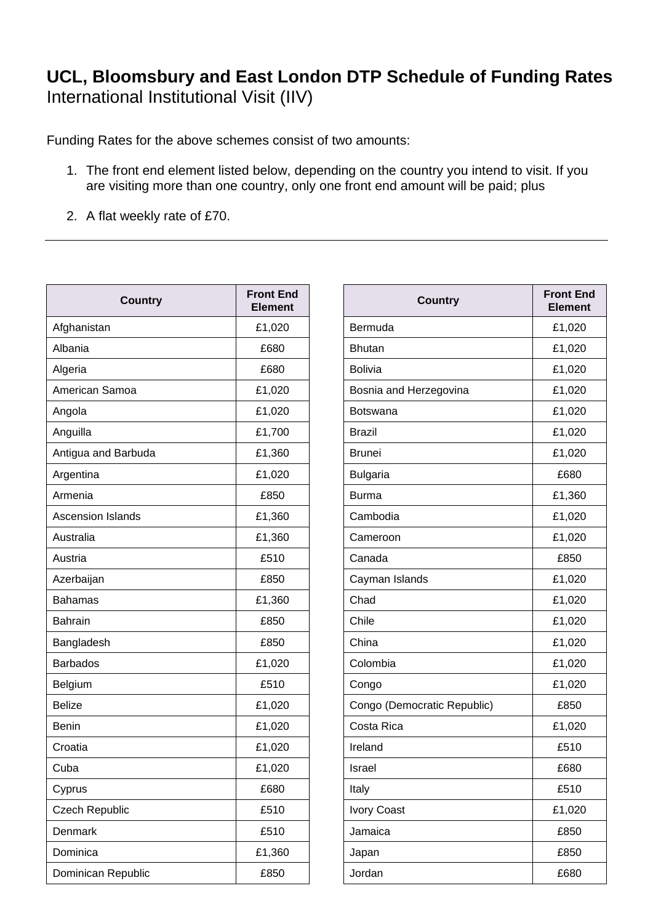## **UCL, Bloomsbury and East London DTP Schedule of Funding Rates**  International Institutional Visit (IIV)

Funding Rates for the above schemes consist of two amounts:

- 1. The front end element listed below, depending on the country you intend to visit. If you are visiting more than one country, only one front end amount will be paid; plus
- 2. A flat weekly rate of £70.

| <b>Country</b>           | <b>Front End</b><br><b>Element</b> | <b>Country</b>              | <b>Front Er</b><br><b>Elemer</b> |
|--------------------------|------------------------------------|-----------------------------|----------------------------------|
| Afghanistan              | £1,020                             | Bermuda                     | £1,020                           |
| Albania                  | £680                               | <b>Bhutan</b>               | £1,020                           |
| Algeria                  | £680                               | <b>Bolivia</b>              | £1,020                           |
| American Samoa           | £1,020                             | Bosnia and Herzegovina      | £1,020                           |
| Angola                   | £1,020                             | Botswana                    | £1,020                           |
| Anguilla                 | £1,700                             | <b>Brazil</b>               | £1,020                           |
| Antigua and Barbuda      | £1,360                             | <b>Brunei</b>               | £1,020                           |
| Argentina                | £1,020                             | <b>Bulgaria</b>             |                                  |
| Armenia                  | £850                               | <b>Burma</b>                | £1,360                           |
| <b>Ascension Islands</b> | £1,360                             | Cambodia                    | £1,020                           |
| Australia                | £1,360                             | Cameroon                    | £1,020                           |
| Austria                  | £510                               | Canada                      | £850                             |
| Azerbaijan               | £850                               | Cayman Islands              | £1,020                           |
| <b>Bahamas</b>           | £1,360                             | Chad                        | £1,020                           |
| Bahrain                  | £850                               | Chile                       | £1,020                           |
| Bangladesh               | £850                               | China                       | £1,020                           |
| <b>Barbados</b>          | £1,020                             | Colombia                    | £1,020                           |
| Belgium                  | £510                               | Congo                       | £1,020                           |
| <b>Belize</b>            | £1,020                             | Congo (Democratic Republic) | £850                             |
| Benin                    | £1,020                             | Costa Rica                  | £1,020                           |
| Croatia                  | £1,020                             | Ireland                     |                                  |
| Cuba                     | £1,020                             | Israel                      |                                  |
| Cyprus                   | £680                               | Italy                       | £510                             |
| <b>Czech Republic</b>    | £510                               | <b>Ivory Coast</b>          | £1,020                           |
| Denmark                  | £510                               | Jamaica                     | £850                             |
| Dominica                 | £1,360                             | Japan                       | £850                             |
| Dominican Republic       | £850                               | Jordan                      | £680                             |
|                          |                                    |                             |                                  |

| <b>Front End</b><br><b>Element</b> | <b>Country</b>              | <b>Front End</b><br><b>Element</b> |
|------------------------------------|-----------------------------|------------------------------------|
| £1,020                             | Bermuda                     | £1,020                             |
| £680                               | <b>Bhutan</b>               | £1,020                             |
| £680                               | <b>Bolivia</b>              | £1,020                             |
| £1,020                             | Bosnia and Herzegovina      | £1,020                             |
| £1,020                             | <b>Botswana</b>             | £1,020                             |
| £1,700                             | <b>Brazil</b>               | £1,020                             |
| £1,360                             | <b>Brunei</b>               | £1,020                             |
| £1,020                             | <b>Bulgaria</b>             | £680                               |
| £850                               | <b>Burma</b>                | £1,360                             |
| £1,360                             | Cambodia                    | £1,020                             |
| £1,360                             | Cameroon                    | £1,020                             |
| £510                               | Canada                      | £850                               |
| £850                               | Cayman Islands              | £1,020                             |
| £1,360                             | Chad                        | £1,020                             |
| £850                               | Chile                       | £1,020                             |
| £850                               | China                       | £1,020                             |
| £1,020                             | Colombia                    | £1,020                             |
| £510                               | Congo                       | £1,020                             |
| £1,020                             | Congo (Democratic Republic) | £850                               |
| £1,020                             | Costa Rica                  | £1,020                             |
| £1,020                             | Ireland                     | £510                               |
| £1,020                             | Israel                      | £680                               |
| £680                               | Italy                       | £510                               |
| £510                               | <b>Ivory Coast</b>          | £1,020                             |
| £510                               | Jamaica                     | £850                               |
| £1,360                             | Japan                       | £850                               |
| £850                               | Jordan                      | £680                               |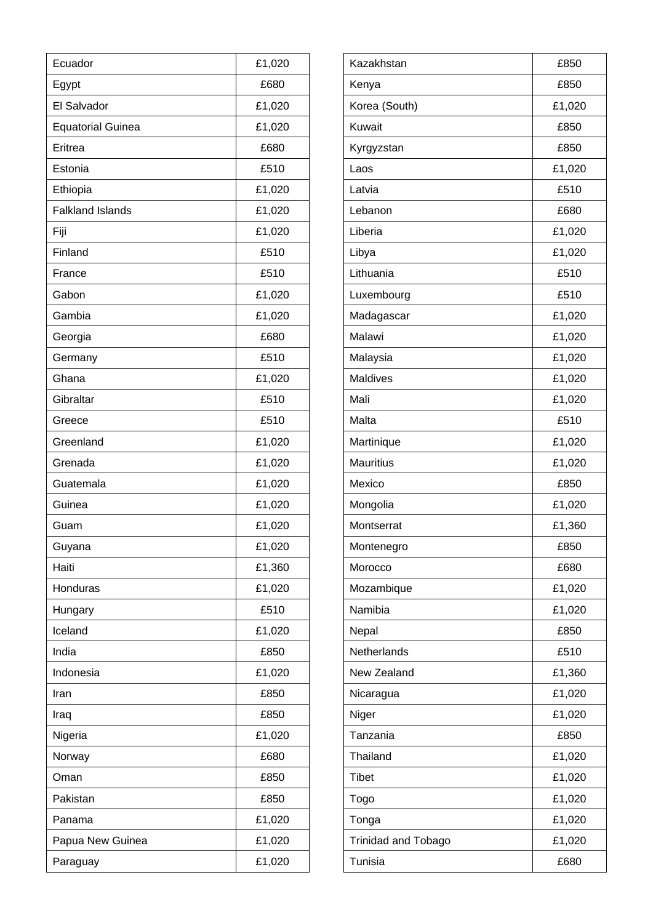| Ecuador                  | £1,020 | Kazakhstan                 | £850   |
|--------------------------|--------|----------------------------|--------|
| Egypt                    | £680   | Kenya                      | £850   |
| El Salvador              | £1,020 | Korea (South)              | £1,020 |
| <b>Equatorial Guinea</b> | £1,020 | Kuwait                     | £850   |
| Eritrea                  | £680   | Kyrgyzstan                 | £850   |
| Estonia                  | £510   | Laos                       | £1,020 |
| Ethiopia                 | £1,020 | Latvia                     | £510   |
| <b>Falkland Islands</b>  | £1,020 | Lebanon                    | £680   |
| Fiji                     | £1,020 | Liberia                    | £1,020 |
| Finland                  | £510   | Libya                      | £1,020 |
| France                   | £510   | Lithuania                  | £510   |
| Gabon                    | £1,020 | Luxembourg                 | £510   |
| Gambia                   | £1,020 | Madagascar                 | £1,020 |
| Georgia                  | £680   | Malawi                     | £1,020 |
| Germany                  | £510   | Malaysia                   | £1,020 |
| Ghana                    | £1,020 | Maldives                   | £1,020 |
| Gibraltar                | £510   | Mali                       | £1,020 |
| Greece                   | £510   | Malta                      | £510   |
| Greenland                | £1,020 | Martinique                 | £1,020 |
| Grenada                  | £1,020 | <b>Mauritius</b>           | £1,020 |
| Guatemala                | £1,020 | Mexico                     | £850   |
| Guinea                   | £1,020 | Mongolia                   | £1,020 |
| Guam                     | £1,020 | Montserrat                 | £1,360 |
| Guyana                   | £1,020 | Montenegro                 | £850   |
| Haiti                    | £1,360 | Morocco                    | £680   |
| Honduras                 | £1,020 | Mozambique                 | £1,020 |
| Hungary                  | £510   | Namibia                    | £1,020 |
| Iceland                  | £1,020 | Nepal                      | £850   |
| India                    | £850   | Netherlands                | £510   |
| Indonesia                | £1,020 | New Zealand                | £1,360 |
| Iran                     | £850   | Nicaragua                  | £1,020 |
| Iraq                     | £850   | Niger                      | £1,020 |
| Nigeria                  | £1,020 | Tanzania                   | £850   |
| Norway                   | £680   | Thailand                   | £1,020 |
| Oman                     | £850   | <b>Tibet</b>               | £1,020 |
| Pakistan                 | £850   | Togo                       | £1,020 |
| Panama                   | £1,020 | Tonga                      | £1,020 |
| Papua New Guinea         | £1,020 | <b>Trinidad and Tobago</b> | £1,020 |
| Paraguay                 | £1,020 | Tunisia                    | £680   |

| £850<br>Kenya<br>Korea (South)<br>£1,020<br><b>Kuwait</b><br>£850<br>£850<br>Kyrgyzstan<br>£1,020<br>Laos<br>£510<br>Latvia<br>Lebanon<br>£680<br>Liberia<br>£1,020<br>Libya<br>£1,020<br>Lithuania<br>£510<br>£510<br>Luxembourg<br>£1,020<br>Madagascar<br>Malawi<br>£1,020<br>£1,020<br>Malaysia<br><b>Maldives</b><br>£1,020<br>Mali<br>£1,020<br>£510<br>Malta<br>Martinique<br>£1,020<br><b>Mauritius</b><br>£1,020<br>Mexico<br>£850<br>Mongolia<br>£1,020<br>Montserrat<br>£1,360<br>£850<br>Montenegro<br>Morocco<br>£680<br>£1,020<br>Mozambique<br>Namibia<br>£1,020<br>Nepal<br>£850<br>Netherlands<br>£510<br>New Zealand<br>£1,360<br>£1,020<br>Nicaragua<br>£1,020<br>Niger<br>Tanzania<br>£850<br>Thailand<br>£1,020<br><b>Tibet</b><br>£1,020<br>Togo<br>£1,020<br>£1,020<br>Tonga<br><b>Trinidad and Tobago</b><br>£1,020<br>Tunisia<br>£680 | Kazakhstan | £850 |
|----------------------------------------------------------------------------------------------------------------------------------------------------------------------------------------------------------------------------------------------------------------------------------------------------------------------------------------------------------------------------------------------------------------------------------------------------------------------------------------------------------------------------------------------------------------------------------------------------------------------------------------------------------------------------------------------------------------------------------------------------------------------------------------------------------------------------------------------------------------|------------|------|
|                                                                                                                                                                                                                                                                                                                                                                                                                                                                                                                                                                                                                                                                                                                                                                                                                                                                |            |      |
|                                                                                                                                                                                                                                                                                                                                                                                                                                                                                                                                                                                                                                                                                                                                                                                                                                                                |            |      |
|                                                                                                                                                                                                                                                                                                                                                                                                                                                                                                                                                                                                                                                                                                                                                                                                                                                                |            |      |
|                                                                                                                                                                                                                                                                                                                                                                                                                                                                                                                                                                                                                                                                                                                                                                                                                                                                |            |      |
|                                                                                                                                                                                                                                                                                                                                                                                                                                                                                                                                                                                                                                                                                                                                                                                                                                                                |            |      |
|                                                                                                                                                                                                                                                                                                                                                                                                                                                                                                                                                                                                                                                                                                                                                                                                                                                                |            |      |
|                                                                                                                                                                                                                                                                                                                                                                                                                                                                                                                                                                                                                                                                                                                                                                                                                                                                |            |      |
|                                                                                                                                                                                                                                                                                                                                                                                                                                                                                                                                                                                                                                                                                                                                                                                                                                                                |            |      |
|                                                                                                                                                                                                                                                                                                                                                                                                                                                                                                                                                                                                                                                                                                                                                                                                                                                                |            |      |
|                                                                                                                                                                                                                                                                                                                                                                                                                                                                                                                                                                                                                                                                                                                                                                                                                                                                |            |      |
|                                                                                                                                                                                                                                                                                                                                                                                                                                                                                                                                                                                                                                                                                                                                                                                                                                                                |            |      |
|                                                                                                                                                                                                                                                                                                                                                                                                                                                                                                                                                                                                                                                                                                                                                                                                                                                                |            |      |
|                                                                                                                                                                                                                                                                                                                                                                                                                                                                                                                                                                                                                                                                                                                                                                                                                                                                |            |      |
|                                                                                                                                                                                                                                                                                                                                                                                                                                                                                                                                                                                                                                                                                                                                                                                                                                                                |            |      |
|                                                                                                                                                                                                                                                                                                                                                                                                                                                                                                                                                                                                                                                                                                                                                                                                                                                                |            |      |
|                                                                                                                                                                                                                                                                                                                                                                                                                                                                                                                                                                                                                                                                                                                                                                                                                                                                |            |      |
|                                                                                                                                                                                                                                                                                                                                                                                                                                                                                                                                                                                                                                                                                                                                                                                                                                                                |            |      |
|                                                                                                                                                                                                                                                                                                                                                                                                                                                                                                                                                                                                                                                                                                                                                                                                                                                                |            |      |
|                                                                                                                                                                                                                                                                                                                                                                                                                                                                                                                                                                                                                                                                                                                                                                                                                                                                |            |      |
|                                                                                                                                                                                                                                                                                                                                                                                                                                                                                                                                                                                                                                                                                                                                                                                                                                                                |            |      |
|                                                                                                                                                                                                                                                                                                                                                                                                                                                                                                                                                                                                                                                                                                                                                                                                                                                                |            |      |
|                                                                                                                                                                                                                                                                                                                                                                                                                                                                                                                                                                                                                                                                                                                                                                                                                                                                |            |      |
|                                                                                                                                                                                                                                                                                                                                                                                                                                                                                                                                                                                                                                                                                                                                                                                                                                                                |            |      |
|                                                                                                                                                                                                                                                                                                                                                                                                                                                                                                                                                                                                                                                                                                                                                                                                                                                                |            |      |
|                                                                                                                                                                                                                                                                                                                                                                                                                                                                                                                                                                                                                                                                                                                                                                                                                                                                |            |      |
|                                                                                                                                                                                                                                                                                                                                                                                                                                                                                                                                                                                                                                                                                                                                                                                                                                                                |            |      |
|                                                                                                                                                                                                                                                                                                                                                                                                                                                                                                                                                                                                                                                                                                                                                                                                                                                                |            |      |
|                                                                                                                                                                                                                                                                                                                                                                                                                                                                                                                                                                                                                                                                                                                                                                                                                                                                |            |      |
|                                                                                                                                                                                                                                                                                                                                                                                                                                                                                                                                                                                                                                                                                                                                                                                                                                                                |            |      |
|                                                                                                                                                                                                                                                                                                                                                                                                                                                                                                                                                                                                                                                                                                                                                                                                                                                                |            |      |
|                                                                                                                                                                                                                                                                                                                                                                                                                                                                                                                                                                                                                                                                                                                                                                                                                                                                |            |      |
|                                                                                                                                                                                                                                                                                                                                                                                                                                                                                                                                                                                                                                                                                                                                                                                                                                                                |            |      |
|                                                                                                                                                                                                                                                                                                                                                                                                                                                                                                                                                                                                                                                                                                                                                                                                                                                                |            |      |
|                                                                                                                                                                                                                                                                                                                                                                                                                                                                                                                                                                                                                                                                                                                                                                                                                                                                |            |      |
|                                                                                                                                                                                                                                                                                                                                                                                                                                                                                                                                                                                                                                                                                                                                                                                                                                                                |            |      |
|                                                                                                                                                                                                                                                                                                                                                                                                                                                                                                                                                                                                                                                                                                                                                                                                                                                                |            |      |
|                                                                                                                                                                                                                                                                                                                                                                                                                                                                                                                                                                                                                                                                                                                                                                                                                                                                |            |      |
|                                                                                                                                                                                                                                                                                                                                                                                                                                                                                                                                                                                                                                                                                                                                                                                                                                                                |            |      |